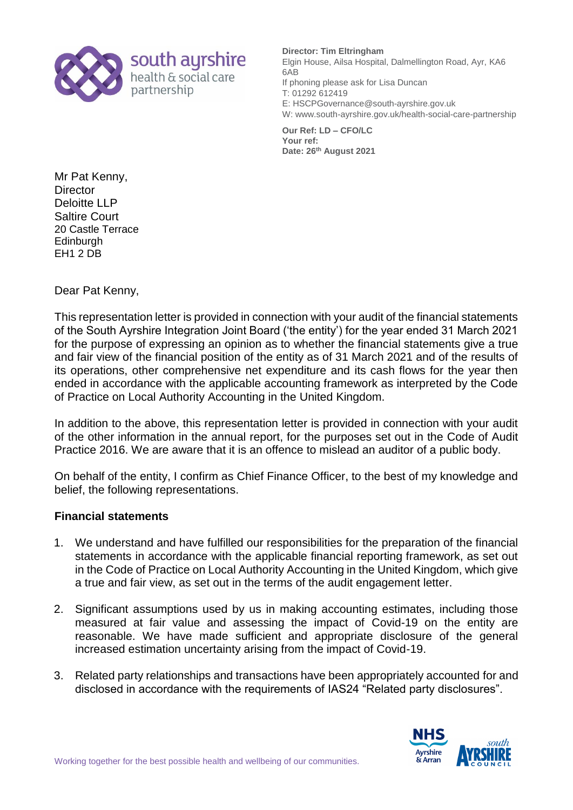

## **Director: Tim Eltringham**

Elgin House, Ailsa Hospital, Dalmellington Road, Ayr, KA6 6AB If phoning please ask for Lisa Duncan T: 01292 612419 E: HSCPGovernance@south-ayrshire.gov.uk W: www.south-ayrshire.gov.uk/health-social-care-partnership

**Our Ref: LD – CFO/LC Your ref: Date: 26th August 2021**

Mr Pat Kenny, **Director** Deloitte LLP Saltire Court 20 Castle Terrace **Edinburgh** EH1 2 DB

Dear Pat Kenny,

This representation letter is provided in connection with your audit of the financial statements of the South Ayrshire Integration Joint Board ('the entity') for the year ended 31 March 2021 for the purpose of expressing an opinion as to whether the financial statements give a true and fair view of the financial position of the entity as of 31 March 2021 and of the results of its operations, other comprehensive net expenditure and its cash flows for the year then ended in accordance with the applicable accounting framework as interpreted by the Code of Practice on Local Authority Accounting in the United Kingdom.

In addition to the above, this representation letter is provided in connection with your audit of the other information in the annual report, for the purposes set out in the Code of Audit Practice 2016. We are aware that it is an offence to mislead an auditor of a public body.

On behalf of the entity, I confirm as Chief Finance Officer, to the best of my knowledge and belief, the following representations.

## **Financial statements**

- 1. We understand and have fulfilled our responsibilities for the preparation of the financial statements in accordance with the applicable financial reporting framework, as set out in the Code of Practice on Local Authority Accounting in the United Kingdom, which give a true and fair view, as set out in the terms of the audit engagement letter.
- 2. Significant assumptions used by us in making accounting estimates, including those measured at fair value and assessing the impact of Covid-19 on the entity are reasonable. We have made sufficient and appropriate disclosure of the general increased estimation uncertainty arising from the impact of Covid-19.
- 3. Related party relationships and transactions have been appropriately accounted for and disclosed in accordance with the requirements of IAS24 "Related party disclosures".

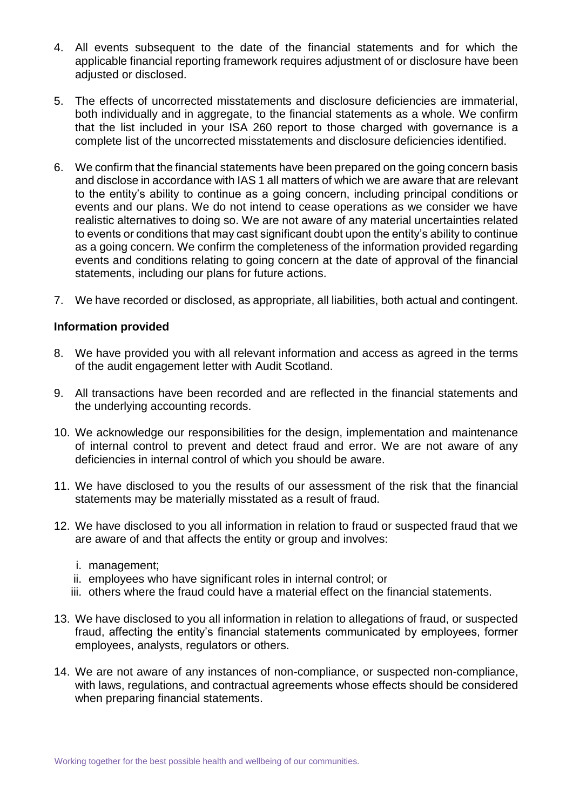- 4. All events subsequent to the date of the financial statements and for which the applicable financial reporting framework requires adjustment of or disclosure have been adjusted or disclosed.
- 5. The effects of uncorrected misstatements and disclosure deficiencies are immaterial, both individually and in aggregate, to the financial statements as a whole. We confirm that the list included in your ISA 260 report to those charged with governance is a complete list of the uncorrected misstatements and disclosure deficiencies identified.
- 6. We confirm that the financial statements have been prepared on the going concern basis and disclose in accordance with IAS 1 all matters of which we are aware that are relevant to the entity's ability to continue as a going concern, including principal conditions or events and our plans. We do not intend to cease operations as we consider we have realistic alternatives to doing so. We are not aware of any material uncertainties related to events or conditions that may cast significant doubt upon the entity's ability to continue as a going concern. We confirm the completeness of the information provided regarding events and conditions relating to going concern at the date of approval of the financial statements, including our plans for future actions.
- 7. We have recorded or disclosed, as appropriate, all liabilities, both actual and contingent.

## **Information provided**

- 8. We have provided you with all relevant information and access as agreed in the terms of the audit engagement letter with Audit Scotland.
- 9. All transactions have been recorded and are reflected in the financial statements and the underlying accounting records.
- 10. We acknowledge our responsibilities for the design, implementation and maintenance of internal control to prevent and detect fraud and error. We are not aware of any deficiencies in internal control of which you should be aware.
- 11. We have disclosed to you the results of our assessment of the risk that the financial statements may be materially misstated as a result of fraud.
- 12. We have disclosed to you all information in relation to fraud or suspected fraud that we are aware of and that affects the entity or group and involves:
	- i. management;
	- ii. employees who have significant roles in internal control; or
	- iii. others where the fraud could have a material effect on the financial statements.
- 13. We have disclosed to you all information in relation to allegations of fraud, or suspected fraud, affecting the entity's financial statements communicated by employees, former employees, analysts, regulators or others.
- 14. We are not aware of any instances of non-compliance, or suspected non-compliance, with laws, regulations, and contractual agreements whose effects should be considered when preparing financial statements.